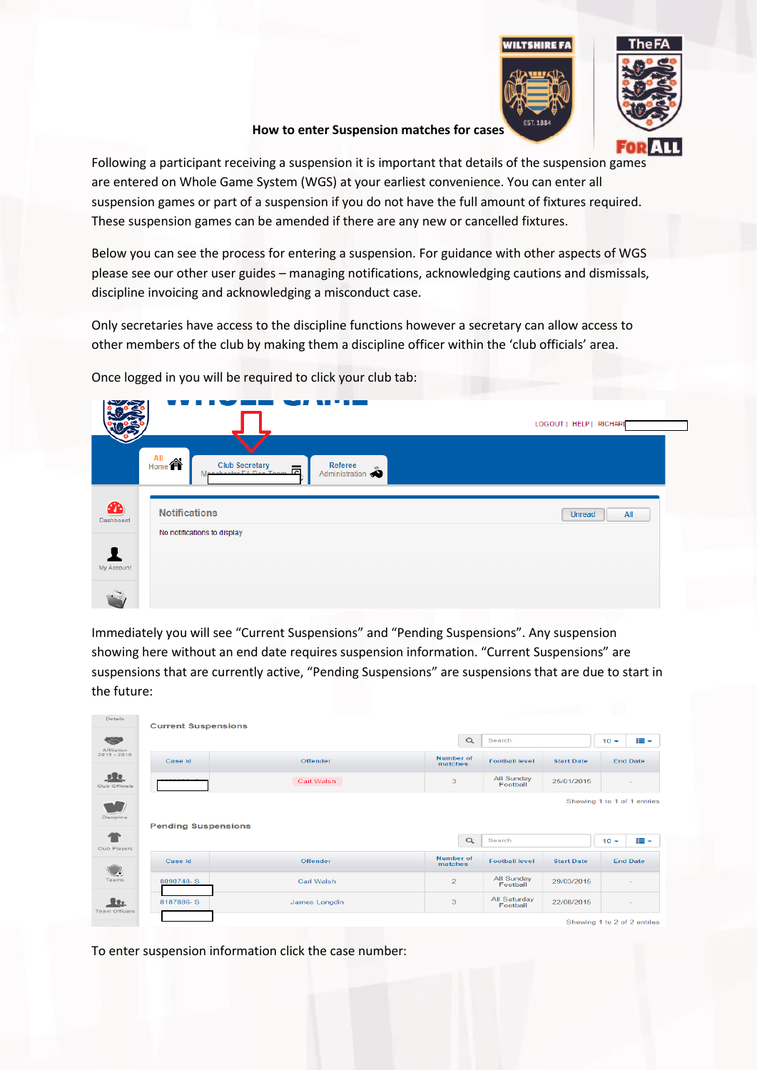



**How to enter Suspension matches for cases**

Following a participant receiving a suspension it is important that details of the suspension games are entered on Whole Game System (WGS) at your earliest convenience. You can enter all suspension games or part of a suspension if you do not have the full amount of fixtures required. These suspension games can be amended if there are any new or cancelled fixtures.

Below you can see the process for entering a suspension. For guidance with other aspects of WGS please see our other user guides – managing notifications, acknowledging cautions and dismissals, discipline invoicing and acknowledging a misconduct case.

Only secretaries have access to the discipline functions however a secretary can allow access to other members of the club by making them a discipline officer within the 'club officials' area.

|                        |                                                                                                                                                               | LOGOUT   HELP   RICHARD |
|------------------------|---------------------------------------------------------------------------------------------------------------------------------------------------------------|-------------------------|
|                        | All<br>$\mathsf{H}^{\mathsf{All}}$<br><b>Club Secretary</b><br>Referee<br>CIUD Secretary<br>Annehoeter EA Ron Toom<br>$\overline{\phantom{a}}$ Administration |                         |
| $\bullet$<br>Dashboard | <b>Notifications</b><br>No notifications to display                                                                                                           | <b>Unread</b><br>All    |
| My Account             |                                                                                                                                                               |                         |

Once logged in you will be required to click your club tab:

Immediately you will see "Current Suspensions" and "Pending Suspensions". Any suspension showing here without an end date requires suspension information. "Current Suspensions" are suspensions that are currently active, "Pending Suspensions" are suspensions that are due to start in the future:

| <b>Details</b>             | <b>Current Suspensions</b> |               |                      |                          |                   |        |                             |
|----------------------------|----------------------------|---------------|----------------------|--------------------------|-------------------|--------|-----------------------------|
| 55<br>Affiliation          |                            |               | $\alpha$             | Search                   |                   | $10 -$ | æ.                          |
| $2015 - 2016$              | Case Id                    | Offender      | Number of<br>matches | <b>Football level</b>    | <b>Start Date</b> |        | <b>End Date</b>             |
| $5 - 2$<br>Club Officials  |                            | Carl Walsh    | 3                    | All Sunday<br>Football   | 25/01/2015        |        |                             |
| Discipline                 | <b>Pending Suspensions</b> |               |                      |                          |                   |        | Showing 1 to 1 of 1 entries |
| <b>Club Players</b>        |                            |               | $\alpha$             | Search                   |                   | $10 -$ | i≣ ~                        |
|                            | Case Id                    | Offender      | Number of<br>matches | <b>Football level</b>    | <b>Start Date</b> |        | <b>End Date</b>             |
| Teams                      | 8090748-S                  | Carl Walsh    | $\overline{2}$       | All Sunday<br>Football   | 29/03/2015        |        | $\sim$                      |
| 取<br><b>Team Officials</b> | 8187886-S                  | James Longdin | 3                    | All Saturday<br>Football | 22/08/2015        |        |                             |
|                            |                            |               |                      |                          |                   |        |                             |

To enter suspension information click the case number: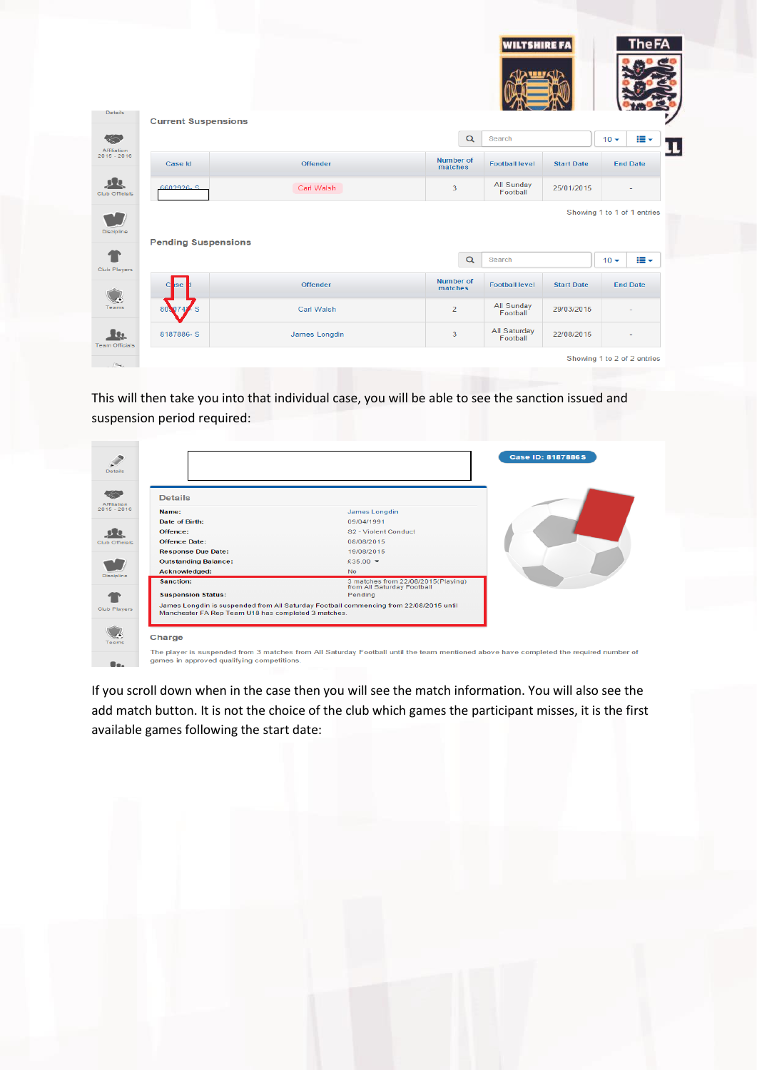|                |                            |                   |                             | <b>WILTSHIRE FA</b>    |                             |        | <b>The FA</b>   |
|----------------|----------------------------|-------------------|-----------------------------|------------------------|-----------------------------|--------|-----------------|
|                | <b>Current Suspensions</b> |                   |                             |                        |                             |        |                 |
|                |                            |                   | $\alpha$                    | Search                 |                             | $10 -$ | æ.              |
| $2015 - 2016$  | Case Id                    | <b>Offender</b>   | <b>Number of</b><br>matches | <b>Football level</b>  | <b>Start Date</b>           |        | <b>End Date</b> |
| Club Officials | 2.2992926                  | Carl Walsh        | 3                           | All Sunday<br>Football | 25/01/2015                  |        |                 |
|                | <b>Pending Suspensions</b> |                   |                             |                        | Showing 1 to 1 of 1 entries |        |                 |
| Club Players   |                            |                   | $\alpha$                    | Search                 |                             | $10 -$ | ≡∼              |
|                | se<br>c                    | Offender          | <b>Number of</b><br>matches | <b>Football level</b>  | <b>Start Date</b>           |        | <b>End Date</b> |
|                |                            |                   | $\overline{2}$              | All Sunday             | 29/03/2015                  |        |                 |
|                | 80,074                     | <b>Carl Walsh</b> |                             | Football               |                             |        |                 |

This will then take you into that individual case, you will be able to see the sanction issued and suspension period required:

| <b>Details</b>                                                |                                                                                        |  |
|---------------------------------------------------------------|----------------------------------------------------------------------------------------|--|
| Name:                                                         | <b>James Longdin</b>                                                                   |  |
| Date of Birth:                                                | 09/04/1991                                                                             |  |
| Offence:                                                      | S2 - Violent Conduct                                                                   |  |
| <b>Offence Date:</b>                                          | 08/08/2015                                                                             |  |
| <b>Response Due Date:</b>                                     | 19/08/2015                                                                             |  |
| <b>Outstanding Balance:</b>                                   | £35.00 $\star$                                                                         |  |
| Acknowledged:                                                 | No.                                                                                    |  |
| Sanction:                                                     | 3 matches from 22/08/2015(Playing)<br>from All Saturday Football                       |  |
| <b>Suspension Status:</b>                                     | Pending                                                                                |  |
| Manchester FA Rep Team U18 has completed 3 matches.<br>Charge | James Longdin is suspended from All Saturday Football commencing from 22/08/2015 until |  |

If you scroll down when in the case then you will see the match information. You will also see the add match button. It is not the choice of the club which games the participant misses, it is the first available games following the start date: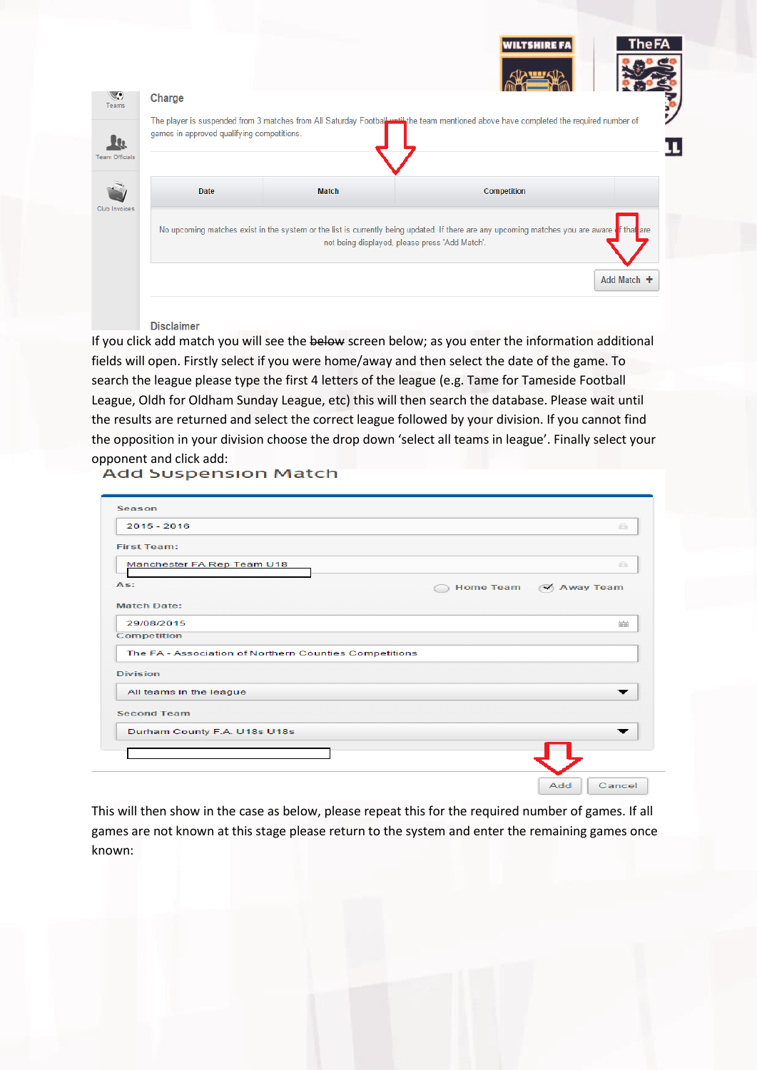|                       |                                            |                                                | <b>WILTSHIRE FI</b>                                                                                                                         | i ne l |
|-----------------------|--------------------------------------------|------------------------------------------------|---------------------------------------------------------------------------------------------------------------------------------------------|--------|
|                       | Charge                                     |                                                |                                                                                                                                             |        |
| <b>Team Officials</b> | games in approved qualifying competitions. |                                                | The player is suspended from 3 matches from All Saturday Football until the team mentioned above have completed the required number of      |        |
|                       | Date                                       | <b>Match</b>                                   | Competition                                                                                                                                 |        |
|                       |                                            |                                                |                                                                                                                                             |        |
| Club Invoices         |                                            | not being displayed, please press 'Add Match'. | No upcoming matches exist in the system or the list is currently being updated. If there are any upcoming matches you are aware of that are |        |

## **Disclaimer**

If you click add match you will see the below screen below; as you enter the information additional fields will open. Firstly select if you were home/away and then select the date of the game. To search the league please type the first 4 letters of the league (e.g. Tame for Tameside Football League, Oldh for Oldham Sunday League, etc) this will then search the database. Please wait until the results are returned and select the correct league followed by your division. If you cannot find the opposition in your division choose the drop down 'select all teams in league'. Finally select your opponent and click add:<br>Add Suspension Match

|                  | $\qquad \qquad \Box$                                   |
|------------------|--------------------------------------------------------|
|                  |                                                        |
|                  |                                                        |
|                  | a                                                      |
| <b>Home Team</b> | $\triangleleft$ Away Team                              |
|                  |                                                        |
|                  | 前                                                      |
|                  |                                                        |
|                  |                                                        |
|                  |                                                        |
|                  |                                                        |
|                  |                                                        |
|                  |                                                        |
|                  |                                                        |
|                  | The FA - Association of Northern Counties Competitions |

This will then show in the case as below, please repeat this for the required number of games. If all games are not known at this stage please return to the system and enter the remaining games once known: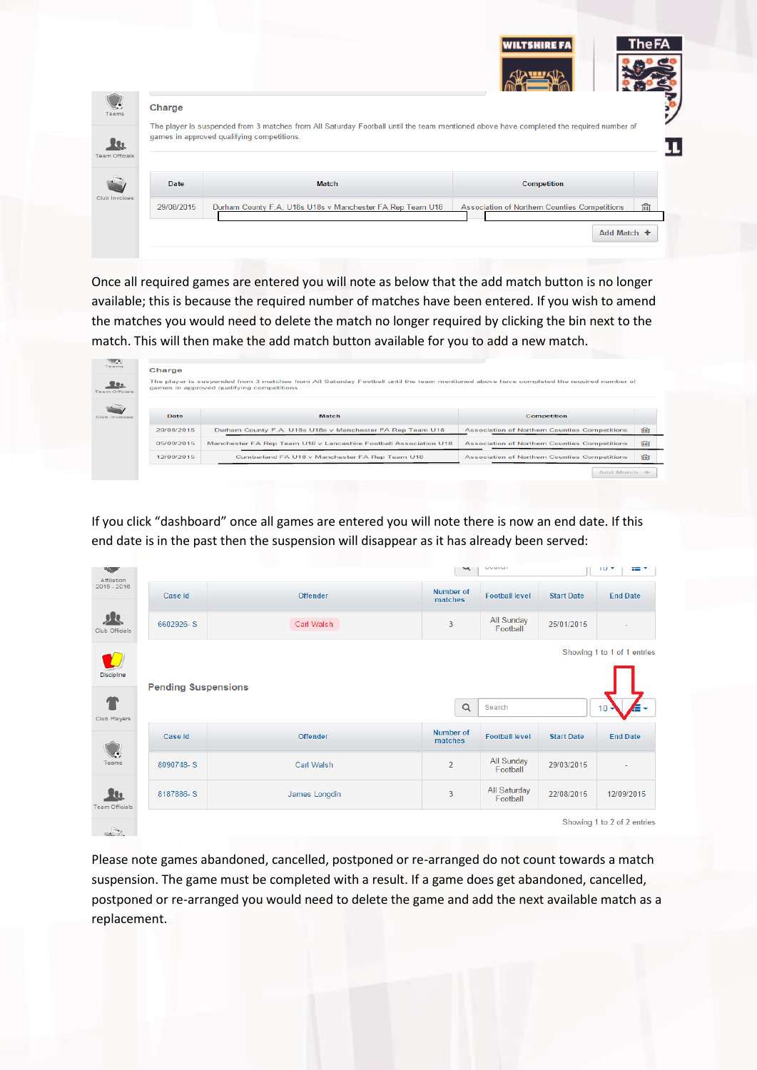|                       |                                                                                                                                        |  |                                                           |  |  | <b>WILTSHIRE FA</b> |                                               | <b>The FA</b> |
|-----------------------|----------------------------------------------------------------------------------------------------------------------------------------|--|-----------------------------------------------------------|--|--|---------------------|-----------------------------------------------|---------------|
|                       |                                                                                                                                        |  |                                                           |  |  |                     |                                               |               |
|                       |                                                                                                                                        |  |                                                           |  |  |                     |                                               |               |
| Teams                 | Charge                                                                                                                                 |  |                                                           |  |  |                     |                                               |               |
|                       | The player is suspended from 3 matches from All Saturday Football until the team mentioned above have completed the required number of |  |                                                           |  |  |                     |                                               |               |
|                       |                                                                                                                                        |  |                                                           |  |  |                     |                                               |               |
| 地                     | games in approved qualifying competitions.                                                                                             |  |                                                           |  |  |                     |                                               |               |
| <b>Team Officials</b> |                                                                                                                                        |  |                                                           |  |  |                     |                                               |               |
|                       | Date                                                                                                                                   |  | <b>Match</b>                                              |  |  | Competition         |                                               |               |
| Club Invoices         | 29/08/2015                                                                                                                             |  | Durham County F.A. U18s U18s v Manchester FA Rep Team U18 |  |  |                     | Association of Northern Counties Competitions | ांगी          |
|                       |                                                                                                                                        |  |                                                           |  |  |                     |                                               |               |

Once all required games are entered you will note as below that the add match button is no longer available; this is because the required number of matches have been entered. If you wish to amend the matches you would need to delete the match no longer required by clicking the bin next to the match. This will then make the add match button available for you to add a new match.

| <u>elle</u><br><b>Team Officials</b> |            | The player is suspended from 3 matches from All Saturday Football until the team mentioned above have completed the required number of<br>games in approved qualifying competitions. |                                                      |             |
|--------------------------------------|------------|--------------------------------------------------------------------------------------------------------------------------------------------------------------------------------------|------------------------------------------------------|-------------|
| Club Involume                        | Date       | <b>Match</b>                                                                                                                                                                         | <b>Competition</b>                                   |             |
|                                      | 29/08/2015 | Durham County F.A. U18s U18s v Manchester FA Rep Team U18                                                                                                                            | <b>Association of Northern Counties Competitions</b> | 画           |
|                                      | 05/09/2015 | Manchester FA Rep Team U18 v Lancashire Football Association U18                                                                                                                     | <b>Association of Northern Counties Competitions</b> | णि          |
|                                      | 12/09/2015 | Cumberland FA U18 v Manchester FA Rep Team U18                                                                                                                                       | <b>Association of Northern Counties Competitions</b> | <b>Till</b> |

If you click "dashboard" once all games are entered you will note there is now an end date. If this end date is in the past then the suspension will disappear as it has already been served:

| <b>PAGE</b><br>Affiliation         |                            |                   | $\tilde{\phantom{a}}$       | <b>UNBERT</b>            |                   | 10 <sup>4</sup><br>an y     |
|------------------------------------|----------------------------|-------------------|-----------------------------|--------------------------|-------------------|-----------------------------|
| $2015 - 2016$                      | Case Id                    | <b>Offender</b>   | <b>Number of</b><br>matches | <b>Football level</b>    | <b>Start Date</b> | <b>End Date</b>             |
| 見見<br>Club Officials               | 6602926-S                  | Carl Walsh        | 3                           | All Sunday<br>Football   | 25/01/2015        | ۰                           |
|                                    |                            |                   |                             |                          |                   | Showing 1 to 1 of 1 entries |
| Discipline                         | <b>Pending Suspensions</b> |                   |                             |                          |                   |                             |
| $\mathbf T$<br><b>Club Players</b> |                            |                   | $\alpha$                    | Search                   |                   | $10 -$<br>æ.                |
|                                    | Case Id                    | <b>Offender</b>   | <b>Number of</b><br>matches | <b>Football level</b>    | <b>Start Date</b> | <b>End Date</b>             |
| Teams                              | 8090748-S                  | <b>Carl Walsh</b> | $\overline{2}$              | All Sunday<br>Football   | 29/03/2015        | ٠                           |
| <u>Hu</u><br><b>Team Officials</b> | 8187886-S                  | James Longdin     | 3                           | All Saturday<br>Football | 22/08/2015        | 12/09/2015                  |
| $\rightarrow$                      |                            |                   |                             |                          |                   | Showing 1 to 2 of 2 entries |

Please note games abandoned, cancelled, postponed or re-arranged do not count towards a match suspension. The game must be completed with a result. If a game does get abandoned, cancelled, postponed or re-arranged you would need to delete the game and add the next available match as a replacement.